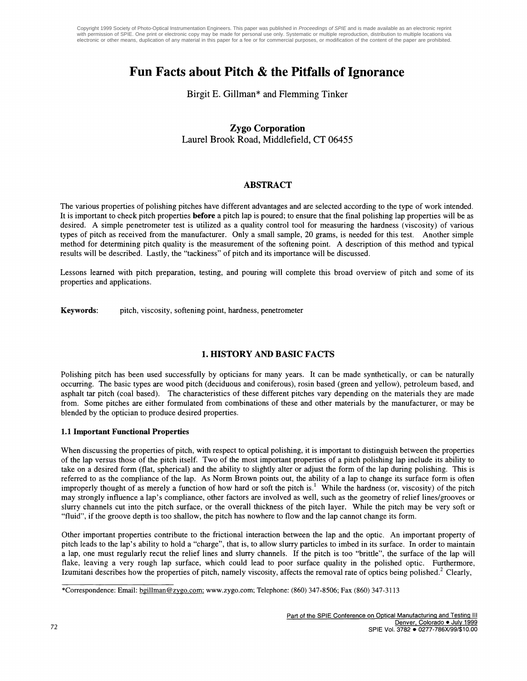Copyright 1999 Society of Photo-Optical Instrumentation Engineers. This paper was published in *Proceedings of SPIE* and is made available as an electronic reprint with permission of SPIE. One print or electronic copy may be made for personal use only. Systematic or multiple reproduction, distribution to multiple locations via electronic or other means, duplication of any material in this paper for a fee or for commercial purposes, or modification of the content of the paper are prohibited.

# Fun Facts about Pitch & the Pitfalls of Ignorance

Birgit E. Gillman\* and Flemming Tinker

# Zygo Corporation Laurel Brook Road, Middlefield, CT 06455

# **ABSTRACT**

The various properties of polishing pitches have different advantages and are selected according to the type of work intended. It is important to check pitch properties **before** a pitch lap is poured; to ensure that the final polishing lap properties will be as desired. A simple penetrometer test is utilized as a quality control tool for measuring the hardness (viscosity) of various types of pitch as received from the manufacturer. Only a small sample, 20 grams, is needed for this test. Another simple method for determining pitch quality is the measurement of the softening point. A description of this method and typical results will be described. Lastly, the "tackiness" of pitch and its importance will be discussed.

Lessons learned with pitch preparation, testing, and pouring will complete this broad overview of pitch and some of its properties and applications.

Keywords: pitch, viscosity, softening point, hardness, penetrometer

# 1. HISTORY AND BASIC FACTS

Polishing pitch has been used successfully by opticians for many years. It can be made synthetically, or can be naturally occurring. The basic types are wood pitch (deciduous and coniferous), rosin based (green and yellow), petroleum based, and asphalt tar pitch (coal based). The characteristics of these different pitches vary depending on the materials they are made from. Some pitches are either formulated from combinations of these and other materials by the manufacturer, or may be blended by the optician to produce desired properties.

# 1.1 Important Functional Properties

When discussing the properties of pitch, with respect to optical polishing, it is important to distinguish between the properties of the lap versus those of the pitch itself. Two of the most important properties of a pitch polishing lap include its ability to take on a desired form (flat, spherical) and the ability to slightly alter or adjust the form of the lap during polishing. This is referred to as the compliance of the lap. As Norm Brown points out, the ability of a lap to change its surface form is often improperly thought of as merely a function of how hard or soft the pitch is.<sup>1</sup> While the hardness (or, viscosity) of the pitch may strongly influence a lap's compliance, other factors are involved as well, such as the geometry of relief lines/grooves or slurry channels cut into the pitch surface, or the overall thickness of the pitch layer. While the pitch may be very soft or "fluid", if the groove depth is too shallow, the pitch has nowhere to flow and the lap cannot change its form.

Other important properties contribute to the frictional interaction between the lap and the optic. An important property of pitch leads to the lap's ability to hold a "charge", that is, to allow slurry particles to imbed in its surface. In order to maintain a lap, one must regularly recut the relief lines and slurry channels. If the pitch is too "brittle", the surface of the lap will flake, leaving a very rough lap surface, which could lead to poor surface quality in the polished optic. Furthermore, Izumitani describes how the properties of pitch, namely viscosity, affects the removal rate of optics being polished.<sup>2</sup> Clearly,

<sup>\*</sup>Conespondence: Email: bgillman@zygo.com: www.zygo.com; Telephone: (860) 347-8506; Fax (860) 347-3113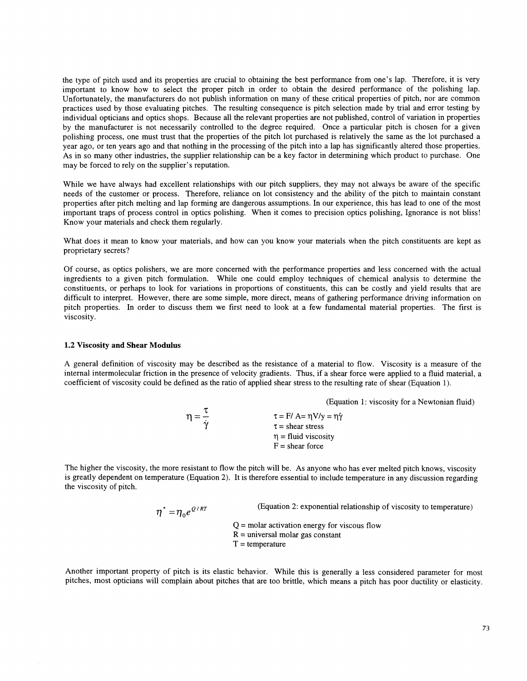the type of pitch used and its properties are crucial to obtaining the best performance from one's lap. Therefore, it is very important to know how to select the proper pitch in order to obtain the desired performance of the polishing lap. Unfortunately, the manufacturers do not publish information on many of these critical properties of pitch, nor are common practices used by those evaluating pitches. The resulting consequence is pitch selection made by trial and error testing by individual opticians and optics shops. Because all the relevant properties are not published, control of variation in properties by the manufacturer is not necessarily controlled to the degree required. Once a particular pitch is chosen for a given polishing process, one must trust that the properties of the pitch lot purchased is relatively the same as the lot purchased a year ago, or ten years ago and that nothing in the processing of the pitch into a lap has significantly altered those properties. As in so many other industries, the supplier relationship can be a key factor in determining which product to purchase. One may be forced to rely on the supplier's reputation.

While we have always had excellent relationships with our pitch suppliers, they may not always be aware of the specific needs of the customer or process. Therefore, reliance on lot consistency and the ability of the pitch to maintain constant properties after pitch melting and lap forming are dangerous assumptions. In our experience, this has lead to one of the most important traps of process control in optics polishing. When it comes to precision optics polishing, Ignorance is not bliss! Know your materials and check them regularly.

What does it mean to know your materials, and how can you know your materials when the pitch constituents are kept as proprietary secrets?

Of course, as optics polishers, we are more concerned with the performance properties and less concerned with the actual ingredients to a given pitch formulation. While one could employ techniques of chemical analysis to determine the constituents, or perhaps to look for variations in proportions of constituents, this can be costly and yield results that are difficult to interpret. However, there are some simple, more direct, means of gathering performance driving information on pitch properties. In order to discuss them we first need to look at a few fundamental material properties. The first is viscosity.

### 1.2 Viscosity and Shear Modulus

A general definition of viscosity may be described as the resistance of a material to flow. Viscosity is a measure of the internal intermolecular friction in the presence of velocity gradients. Thus, if a shear force were applied to a fluid material, a coefficient of viscosity could be defined as the ratio of applied shear stress to the resulting rate of shear (Equation 1).

(Equation 1: viscosity for a Newtonian fluid)

| $\eta =$ $\frac{1}{2}$ | $\tau = F/A = \eta V/y = \eta \dot{\gamma}$ |  |
|------------------------|---------------------------------------------|--|
|                        | $\tau$ = shear stress                       |  |
|                        | $\eta$ = fluid viscosity                    |  |
|                        | $F =$ shear force                           |  |

The higher the viscosity, the more resistant to flow the pitch will be. As anyone who has ever melted pitch knows, viscosity is greatly dependent on temperature (Equation 2). It is therefore essential to include temperature in any discussion regarding the viscosity of pitch.

 $\eta^* = \eta_0 e^{Q/RT}$  (Equation 2: exponential relationship of viscosity to temperature)

 $Q =$  molar activation energy for viscous flow  $R =$  universal molar gas constant  $T = temperature$ 

Another important property of pitch is its elastic behavior. While this is generally a less considered parameter for most pitches, most opticians will complain about pitches that are too brittle, which means a pitch has poor ductility or elasticity.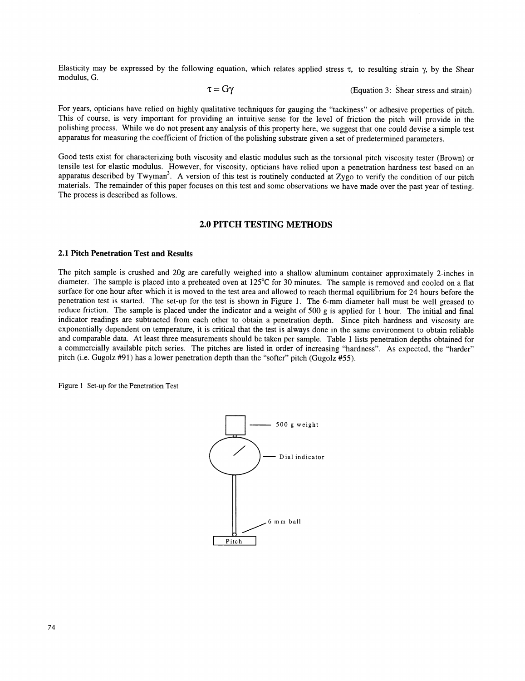Elasticity may be expressed by the following equation, which relates applied stress  $\tau$ , to resulting strain  $\gamma$ , by the Shear modulus, G.

 $\tau = G\gamma$  (Equation 3: Shear stress and strain)

For years, opticians have relied on highly qualitative techniques for gauging the "tackiness" or adhesive properties of pitch. This of course, is very important for providing an intuitive sense for the level of friction the pitch will provide in the polishing process. While we do not present any analysis of this property here, we suggest that one could devise a simple test apparatus for measuring the coefficient of friction of the polishing substrate given a set of predetermined parameters.

Good tests exist for characterizing both viscosity and elastic modulus such as the torsional pitch viscosity tester (Brown) or tensile test for elastic modulus. However, for viscosity, opticians have relied upon a penetration hardness test based on an apparatus described by Twyman<sup>3</sup>. A version of this test is routinely conducted at Zygo to verify the condition of our pitch materials. The remainder of this paper focuses on this test and some observations we have made over the past year of testing. The process is described as follows.

# 2.0 PITCH TESTING METHODS

### 2.1 Pitch Penetration Test and Results

The pitch sample is crushed and 20g are carefully weighed into a shallow aluminum container approximately 2-inches in diameter. The sample is placed into a preheated oven at 125°C for 30 minutes. The sample is removed and cooled on a flat surface for one hour after which it is moved to the test area and allowed to reach thermal equilibrium for 24 hours before the penetration test is started. The set-up for the test is shown in Figure 1. The 6-mm diameter ball must be well greased to reduce friction. The sample is placed under the indicator and a weight of 500 g is applied for 1 hour. The initial and final indicator readings are subtracted from each other to obtain a penetration depth. Since pitch hardness and viscosity are exponentially dependent on temperature, it is critical that the test is always done in the same environment to obtain reliable and comparable data. At least three measurements should be taken per sample. Table 1 lists penetration depths obtained for a commercially available pitch series. The pitches are listed in order of increasing "hardness". As expected, the "harder" pitch (i.e. Gugolz #91) has a lower penetration depth than the "softer" pitch (Gugolz #55).

Figure 1 Set-up for the Penetration Test

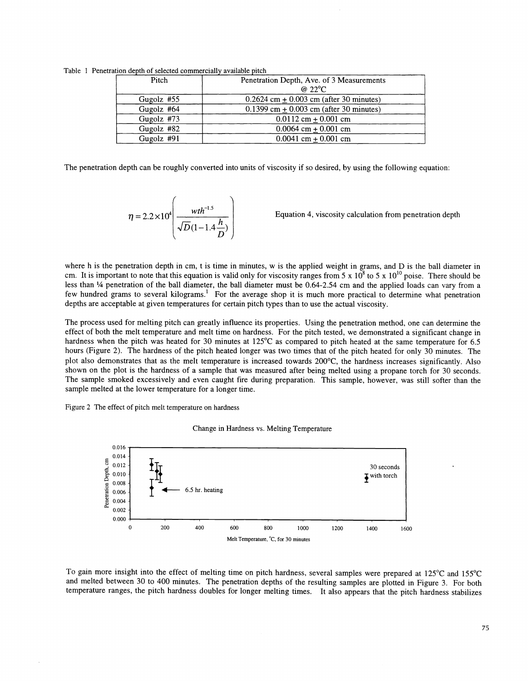| Pitch        | Penetration Depth, Ave. of 3 Measurements   |
|--------------|---------------------------------------------|
|              | $@22^{\circ}C$                              |
| Gugolz $#55$ | $0.2624$ cm + 0.003 cm (after 30 minutes)   |
| Gugolz #64   | 0.1399 cm $\pm$ 0.003 cm (after 30 minutes) |
| Gugolz $#73$ | $0.0112$ cm $\pm$ 0.001 cm                  |
| Gugolz $#82$ | $0.0064$ cm + 0.001 cm                      |
| Gugolz $#91$ | $0.0041$ cm + 0.001 cm                      |

Table 1 Penetration depth of selected commercially available pitch

The penetration depth can be roughly converted into units of viscosity if so desired, by using the following equation:

$$
\eta = 2.2 \times 10^4 \left( \frac{wth^{-1.5}}{\sqrt{D} (1 - 1.4 \frac{h}{D})} \right)
$$

Equation 4, viscosity calculation from penetration depth

where h is the penetration depth in cm, t is time in minutes, w is the applied weight in grams, and D is the ball diameter in cm. It is important to note that this equation is valid only for viscosity ranges from 5 x  $10^8$  to 5 x  $10^{10}$  poise. There should be less than 1/4 penetration of the ball diameter, the ball diameter must be 0.64-2.54 cm and the applied loads can vary from a few hundred grams to several kilograms.<sup>1</sup> For the average shop it is much more practical to determine what penetration depths are acceptable at given temperatures for certain pitch types than to use the actual viscosity.

The process used for melting pitch can greatly influence its properties. Using the penetration method, one can determine the effect of both the melt temperature and melt time on hardness. For the pitch tested, we demonstrated a significant change in hardness when the pitch was heated for 30 minutes at 125°C as compared to pitch heated at the same temperature for 6.5 hours (Figure 2). The hardness of the pitch heated longer was two times that of the pitch heated for only 30 minutes. The plot also demonstrates that as the melt temperature is increased towards 200°C, the hardness increases significantly. Also shown on the plot is the hardness of a sample that was measured after being melted using a propane torch for 30 seconds. The sample smoked excessively and even caught fire during preparation. This sample, however, was still softer than the sample melted at the lower temperature for a longer time.

Figure 2 The effect of pitch melt temperature on hardness

#### Change in Hardness vs. Melting Temperature



To gain more insight into the effect of melting time on pitch hardness, several samples were prepared at 125°C and 155°C and melted between 30 to 400 minutes. The penetration depths of the resulting samples are plotted in Figure 3. For both temperature ranges, the pitch hardness doubles for longer melting times. It also appears that the pitch hardness stabilizes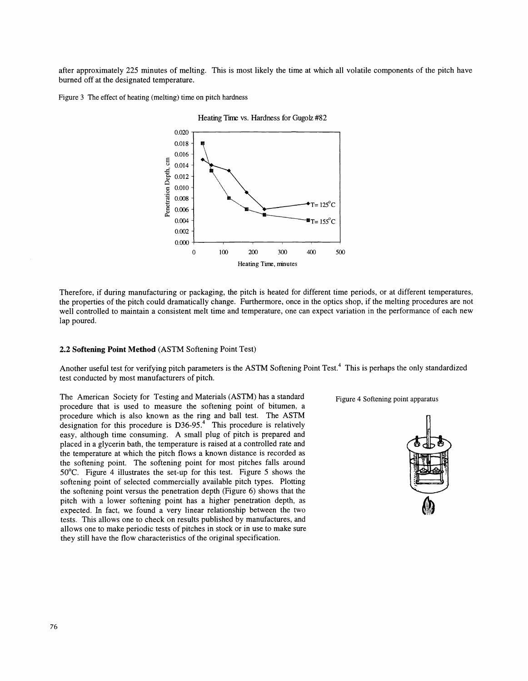after approximately 225 minutes of melting. This is most likely the time at which all volatile components of the pitch have burned off at the designated temperature.

Figure 3 The effect of heating (melting) time on pitch hardness



Heating Tine vs. Hardness for Gugolz #82

Therefore, if during manufacturing or packaging, the pitch is heated for different time periods, or at different temperatures, the properties of the pitch could dramatically change. Furthermore, once in the optics shop, if the melting procedures are not well controlled to maintain a consistent melt time and temperature, one can expect variation in the performance of each new lap poured.

#### 2.2 Softening Point Method (ASTM Softening Point Test)

Another useful test for verifying pitch parameters is the ASTM Softening Point Test.<sup>4</sup> This is perhaps the only standardized test conducted by most manufacturers of pitch.

The American Society for Testing and Materials (ASTM) has a standard procedure that is used to measure the softening point of bitumen, a procedure which is also known as the ring and ball test. The ASTM designation for this procedure is  $D36-95<sup>4</sup>$ . This procedure is relatively easy, although time consuming. A small plug of pitch is prepared and placed in a glycerin bath, the temperature is raised at a controlled rate and the temperature at which the pitch flows a known distance is recorded as the softening point. The softening point for most pitches falls around 50°C. Figure 4 illustrates the set-up for this test. Figure 5 shows the softening point of selected commercially available pitch types. Plotting the softening point versus the penetration depth (Figure 6) shows that the pitch with a lower softening point has a higher penetration depth, as expected. In fact, we found a very linear relationship between the two tests. This allows one to check on results published by manufactures, and allows one to make periodic tests of pitches in stock or in use to make sure they still have the flow characteristics of the original specification.

Figure 4 Softening point apparatus

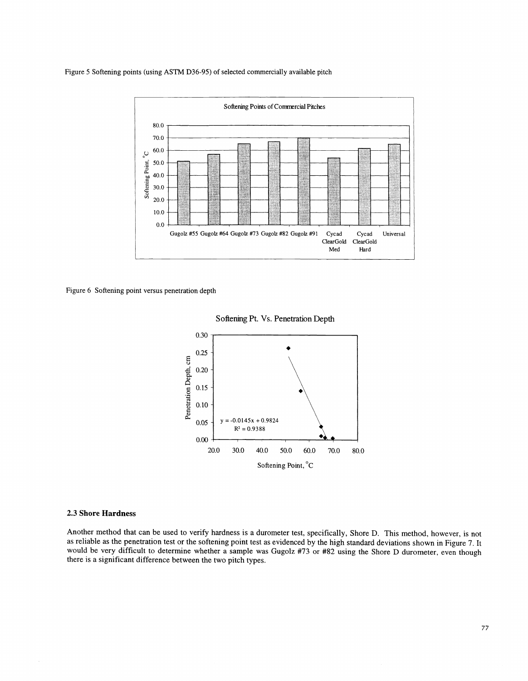Figure 5 Softening points (using ASTM D36-95) of selected commercially available pitch



Figure 6 Softening point versus penetration depth



Softening Pt. Vs. Penetration Depth

# 2.3 Shore Hardness

Another method that can be used to verify hardness is a durometer test, specifically, Shore D. This method, however, is not as reliable as the penetration test or the softening point test as evidenced by the high standard deviations shown in Figure 7. It would be very difficult to determine whether a sample was Gugolz #73 or #82 using the Shore D durometer, even though there is a significant difference between the two pitch types.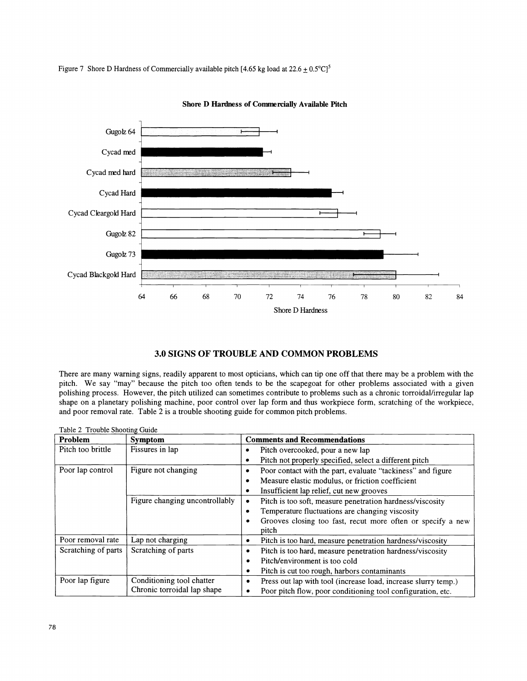Figure 7 Shore D Hardness of Commercially available pitch [4.65 kg load at 22.6  $\pm$  0.5°C]<sup>5</sup>



Shore D Hardness of Commercially Available Pitch

# 3.0 SIGNS OF TROUBLE AND COMMON PROBLEMS

There are many warning signs, readily apparent to most opticians, which can tip one off that there may be a problem with the pitch. We say "may" because the pitch too often tends to be the scapegoat for other problems associated with a given polishing process. However, the pitch utilized can sometimes contribute to problems such as a chronic torroidal/irregular lap shape on a planetary polishing machine, poor control over lap form and thus workpiece form, scratching of the workpiece, and poor removal rate. Table 2 is a trouble shooting guide for common pitch problems.

| Problem                                      | Symptom                        | <b>Comments and Recommendations</b>                                  |
|----------------------------------------------|--------------------------------|----------------------------------------------------------------------|
| Pitch too brittle                            | Fissures in lap                | Pitch overcooked, pour a new lap<br>٠                                |
|                                              |                                | Pitch not properly specified, select a different pitch<br>٠          |
| Poor lap control                             | Figure not changing            | Poor contact with the part, evaluate "tackiness" and figure<br>٠     |
|                                              |                                | Measure elastic modulus, or friction coefficient                     |
|                                              |                                | Insufficient lap relief, cut new grooves<br>٠                        |
|                                              | Figure changing uncontrollably | Pitch is too soft, measure penetration hardness/viscosity<br>٠       |
|                                              |                                | Temperature fluctuations are changing viscosity<br>٠                 |
|                                              |                                | Grooves closing too fast, recut more often or specify a new<br>pitch |
| Poor removal rate                            | Lap not charging               | Pitch is too hard, measure penetration hardness/viscosity<br>٠       |
| Scratching of parts                          | Scratching of parts            | Pitch is too hard, measure penetration hardness/viscosity<br>٠       |
|                                              |                                | Pitch/environment is too cold<br>٠                                   |
|                                              |                                | Pitch is cut too rough, harbors contaminants<br>٠                    |
| Poor lap figure<br>Conditioning tool chatter |                                | Press out lap with tool (increase load, increase slurry temp.)<br>٠  |
|                                              | Chronic torroidal lap shape    | Poor pitch flow, poor conditioning tool configuration, etc.<br>٠     |

Table 2 Trouble Shooting Guide